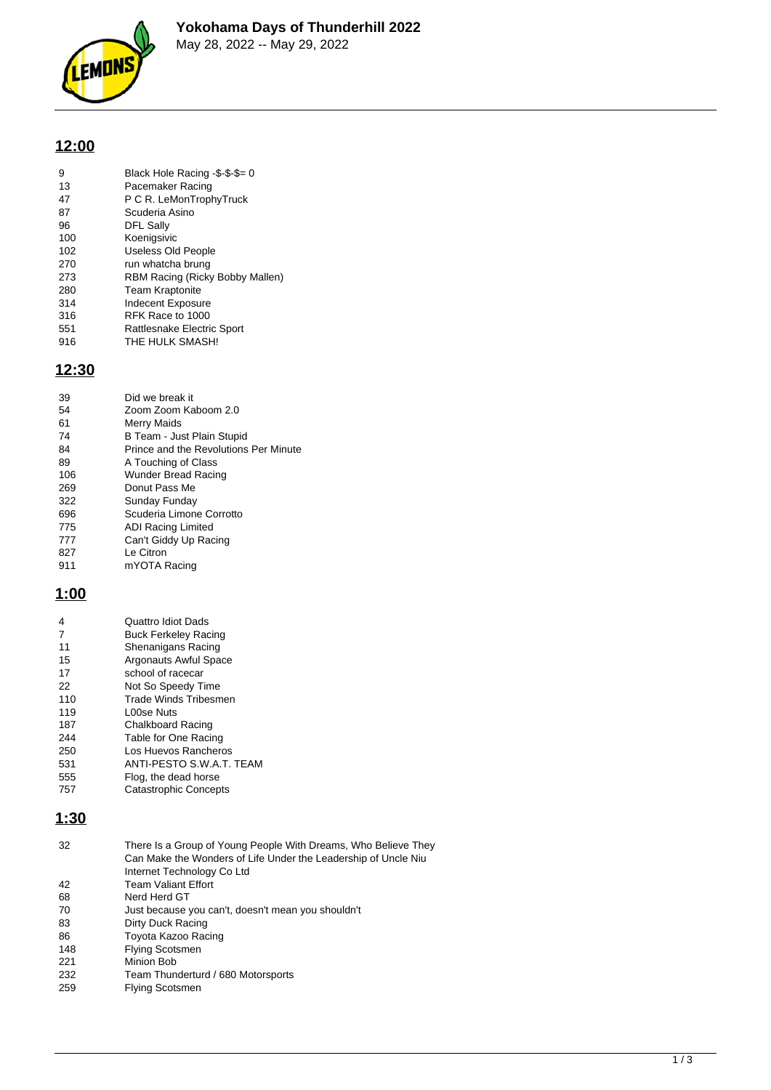

# **12:00**

| 9   | Black Hole Racing -\$-\$-\$= 0  |
|-----|---------------------------------|
| 13  | Pacemaker Racing                |
| 47  | P C R. LeMonTrophyTruck         |
| 87  | Scuderia Asino                  |
| 96  | <b>DFL Sally</b>                |
| 100 | Koenigsivic                     |
| 102 | Useless Old People              |
| 270 | run whatcha brung               |
| 273 | RBM Racing (Ricky Bobby Mallen) |
| 280 | <b>Team Kraptonite</b>          |
| 314 | <b>Indecent Exposure</b>        |
| 316 | RFK Race to 1000                |
| 551 | Rattlesnake Electric Sport      |
| 916 | THE HULK SMASH!                 |
|     |                                 |

#### **12:30**

| 39  | Did we break it                       |
|-----|---------------------------------------|
| 54  | Zoom Zoom Kaboom 2.0                  |
| 61  | Merry Maids                           |
| 74  | B Team - Just Plain Stupid            |
| 84  | Prince and the Revolutions Per Minute |
| 89  | A Touching of Class                   |
| 106 | Wunder Bread Racing                   |
| 269 | Donut Pass Me                         |
| 322 | Sunday Funday                         |
| 696 | Scuderia Limone Corrotto              |
| 775 | ADI Racing Limited                    |
| 777 | Can't Giddy Up Racing                 |
| 827 | Le Citron                             |
| 911 | mYOTA Racing                          |

#### **1:00**

| 4   | Quattro Idiot Dads           |
|-----|------------------------------|
| 7   | <b>Buck Ferkeley Racing</b>  |
| 11  | Shenanigans Racing           |
| 15  | Argonauts Awful Space        |
| 17  | school of racecar            |
| 22  | Not So Speedy Time           |
| 110 | Trade Winds Tribesmen        |
| 119 | L00se Nuts                   |
| 187 | <b>Chalkboard Racing</b>     |
| 244 | Table for One Racing         |
| 250 | Los Huevos Rancheros         |
| 531 | ANTI-PESTO S.W.A.T. TEAM     |
| 555 | Flog, the dead horse         |
| 757 | <b>Catastrophic Concepts</b> |
|     |                              |

#### **1:30**

| 32  | There Is a Group of Young People With Dreams, Who Believe They<br>Can Make the Wonders of Life Under the Leadership of Uncle Niu<br>Internet Technology Co Ltd |
|-----|----------------------------------------------------------------------------------------------------------------------------------------------------------------|
| 42  | <b>Team Valiant Effort</b>                                                                                                                                     |
| 68  | Nerd Herd GT                                                                                                                                                   |
| 70  | Just because you can't, doesn't mean you shouldn't                                                                                                             |
| 83  | Dirty Duck Racing                                                                                                                                              |
| 86  | Toyota Kazoo Racing                                                                                                                                            |
| 148 | <b>Flying Scotsmen</b>                                                                                                                                         |
| 221 | Minion Bob                                                                                                                                                     |
| 232 | Team Thunderturd / 680 Motorsports                                                                                                                             |
| 259 | <b>Flying Scotsmen</b>                                                                                                                                         |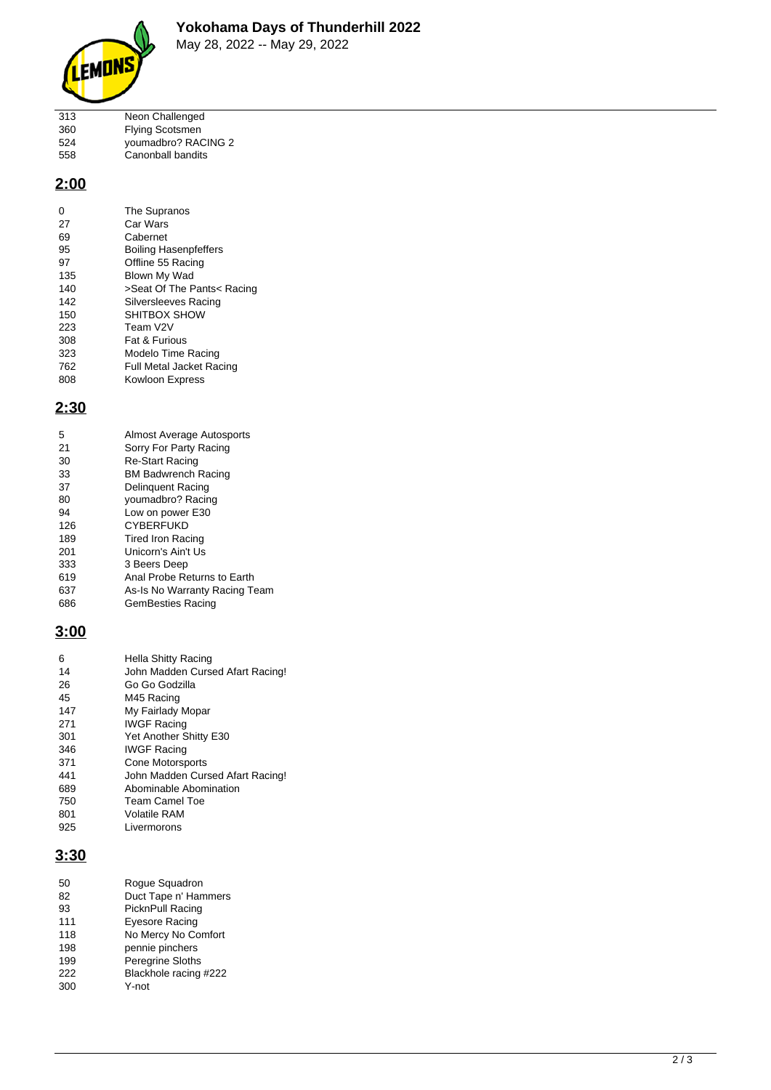

| 313 | Neon Challenged        |
|-----|------------------------|
| 360 | <b>Flying Scotsmen</b> |
| 524 | youmadbro? RACING 2    |
| 558 | Canonball bandits      |

### **2:00**

| O   | The Supranos                    |
|-----|---------------------------------|
| 27  | Car Wars                        |
| 69  | Cabernet                        |
| 95  | <b>Boiling Hasenpfeffers</b>    |
| 97  | Offline 55 Racing               |
| 135 | Blown My Wad                    |
| 140 | >Seat Of The Pants< Racing      |
| 142 | <b>Silversleeves Racing</b>     |
| 150 | SHITBOX SHOW                    |
| 223 | Team V2V                        |
| 308 | Fat & Furious                   |
| 323 | Modelo Time Racing              |
| 762 | <b>Full Metal Jacket Racing</b> |
| 808 | Kowloon Express                 |

## **2:30**

| 5   | Almost Average Autosports     |
|-----|-------------------------------|
| 21  | Sorry For Party Racing        |
| 30  | <b>Re-Start Racing</b>        |
| 33  | <b>BM Badwrench Racing</b>    |
| 37  | Delinguent Racing             |
| 80  | youmadbro? Racing             |
| 94  | Low on power E30              |
| 126 | <b>CYBERFUKD</b>              |
| 189 | Tired Iron Racing             |
| 201 | Unicorn's Ain't Us            |
| 333 | 3 Beers Deep                  |
| 619 | Anal Probe Returns to Earth   |
| 637 | As-Is No Warranty Racing Team |
| 686 | GemBesties Racing             |

### **3:00**

| 6   | Hella Shitty Racing              |
|-----|----------------------------------|
| 14  | John Madden Cursed Afart Racing! |
| 26  | Go Go Godzilla                   |
| 45  | M45 Racing                       |
| 147 | My Fairlady Mopar                |
| 271 | <b>IWGF Racing</b>               |
| 301 | Yet Another Shitty E30           |
| 346 | <b>IWGF Racing</b>               |
| 371 | Cone Motorsports                 |
| 441 | John Madden Cursed Afart Racing! |
| 689 | Abominable Abomination           |
| 750 | Team Camel Toe                   |
| 801 | Volatile RAM                     |
| 925 | Livermorons                      |

#### **3:30**

| Roque Squadron          |
|-------------------------|
| Duct Tape n' Hammers    |
| PicknPull Racing        |
| Eyesore Racing          |
| No Mercy No Comfort     |
| pennie pinchers         |
| <b>Peregrine Sloths</b> |
| Blackhole racing #222   |
| Y-not                   |
|                         |